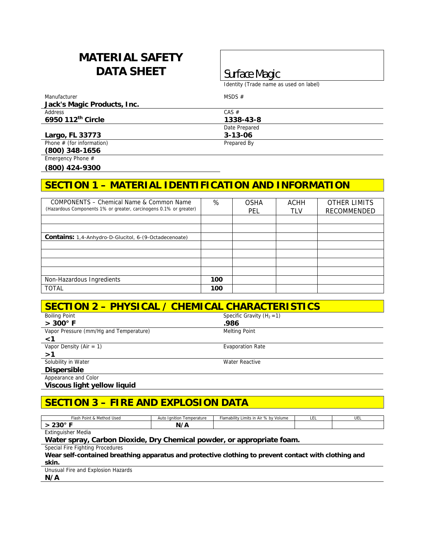# **MATERIAL SAFETY DATA SHEET** Surface Magic

Identity (Trade name as used on label)

Manufacturer MSDS # **Jack's Magic Products, Inc.**  Address CAS  $#$ **6950 112th Circle 1338-43-8**  Date Prepared **Largo, FL 33773** 3-13-06 Phone # (for information) Phone # (for information)

**(800) 348-1656** 

Emergency Phone #

**(800) 424-9300** 

## **SECTION 1 – MATERIAL IDENTIFICATION AND INFORMATION**

| COMPONENTS – Chemical Name & Common Name<br>(Hazardous Components 1% or greater, carcinogens 0.1% or greater) | %   | <b>OSHA</b><br>PEL | ACHH<br>TLV | <b>OTHER LIMITS</b><br>RECOMMENDED |
|---------------------------------------------------------------------------------------------------------------|-----|--------------------|-------------|------------------------------------|
|                                                                                                               |     |                    |             |                                    |
|                                                                                                               |     |                    |             |                                    |
| <b>Contains:</b> 1,4-Anhydro-D-Glucitol, 6-(9-Octadecenoate)                                                  |     |                    |             |                                    |
|                                                                                                               |     |                    |             |                                    |
|                                                                                                               |     |                    |             |                                    |
|                                                                                                               |     |                    |             |                                    |
|                                                                                                               |     |                    |             |                                    |
| Non-Hazardous Ingredients                                                                                     | 100 |                    |             |                                    |
| <b>TOTAL</b>                                                                                                  | 100 |                    |             |                                    |

| SECTION 2 - PHYSICAL / CHEMICAL CHARACTERISTICS |                              |  |  |
|-------------------------------------------------|------------------------------|--|--|
| <b>Boiling Point</b>                            | Specific Gravity $(H_2 = 1)$ |  |  |
| $> 300^\circ$ F                                 | .986                         |  |  |
| Vapor Pressure (mm/Hg and Temperature)          | <b>Melting Point</b>         |  |  |
| $\leq 1$                                        |                              |  |  |
| Vapor Density (Air = $1$ )                      | <b>Evaporation Rate</b>      |  |  |
| >1                                              |                              |  |  |
| Solubility in Water                             | Water Reactive               |  |  |
| <b>Dispersible</b>                              |                              |  |  |
| Appearance and Color                            |                              |  |  |
|                                                 |                              |  |  |

**Viscous light yellow liquid** 

## **SECTION 3 – FIRE AND EXPLOSION DATA**

| Femperature<br>Ignition<br>Auto | Flamability<br>s in Air % by<br>Volume<br>Limits | --- | ◡└ |
|---------------------------------|--------------------------------------------------|-----|----|
| $\overline{ }$<br>N<br>         |                                                  |     |    |
|                                 |                                                  |     |    |

Extinguisher Media

### **Water spray, Carbon Dioxide, Dry Chemical powder, or appropriate foam.**

Special Fire Fighting Procedures

**Wear self-contained breathing apparatus and protective clothing to prevent contact with clothing and skin.** 

Unusual Fire and Explosion Hazards

**N/A**